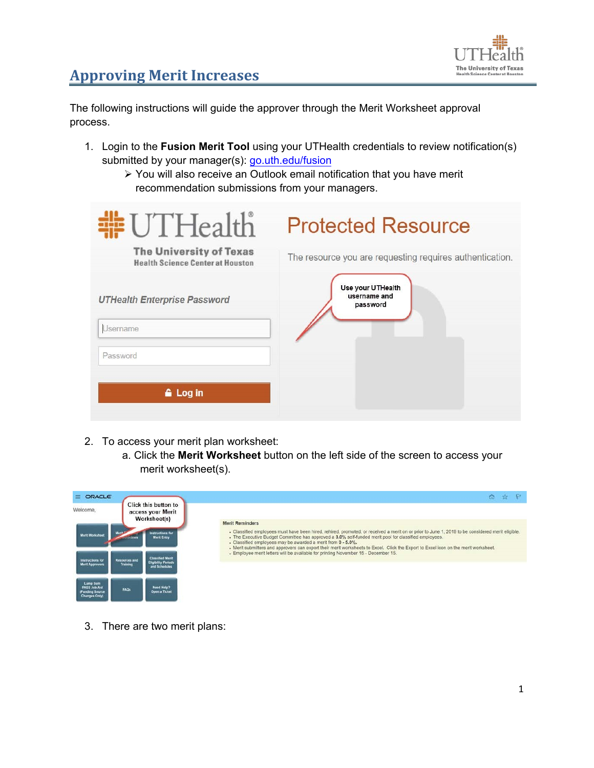

The following instructions will guide the approver through the Merit Worksheet approval process.

- 1. Login to the **Fusion Merit Tool** using your UTHealth credentials to review notification(s) submitted by your manager(s): go.uth.edu/fusion
	- You will also receive an Outlook email notification that you have merit recommendation submissions from your managers.

| #UTHealth                                                                 | <b>Protected Resource</b>                                |
|---------------------------------------------------------------------------|----------------------------------------------------------|
| <b>The University of Texas</b><br><b>Health Science Center at Houston</b> | The resource you are requesting requires authentication. |
| <b>UTHealth Enterprise Password</b>                                       | Use your UTHealth<br>username and<br>password            |
| Username                                                                  |                                                          |
| Password                                                                  |                                                          |
| <b>&amp;</b> Log in                                                       |                                                          |

- 2. To access your merit plan worksheet:
	- a. Click the **Merit Worksheet** button on the left side of the screen to access your merit worksheet(s).

| ORACLE<br>=                                                         |                                                                                                                                                                                                                                                                                                                                                                                                                                                                  |                                                                                    |
|---------------------------------------------------------------------|------------------------------------------------------------------------------------------------------------------------------------------------------------------------------------------------------------------------------------------------------------------------------------------------------------------------------------------------------------------------------------------------------------------------------------------------------------------|------------------------------------------------------------------------------------|
| Welcome,                                                            | Click this button to<br>access your Merit<br><b>Worksheet(s)</b>                                                                                                                                                                                                                                                                                                                                                                                                 | <b>Merit Reminders</b>                                                             |
| instructions for<br><b>Merit Worksheet</b><br><b>Morit Entry</b>    | - Classified employees must have been hired, rehired, promoted, or received a merit on or prior to June 1, 2019 to be considered merit eligible.<br>. The Executive Budget Committee has approved a 3.0% self-funded merit pool for classified employees.<br>. Classified employees may be awarded a merit from 0 - 5.0%.<br>- Merit submitters and approvers can export their merit worksheets to Excel. Click the Export to Excel icon on the merit worksheet. |                                                                                    |
| <b>Instructions for</b><br><b>Merit Approvers</b>                   | <b>Classified Merit</b><br><b>Resources and</b><br><b>Eligibility Periods</b><br><b>Training</b><br>and Schedules                                                                                                                                                                                                                                                                                                                                                | - Employee merit letters will be available for printing November 15 - December 15. |
| Lump Sum<br>PASS Job Aid<br>(Funding Source<br><b>Changes Only)</b> | <b>Need Help?</b><br>FAOS<br><b>Open a Ticket</b>                                                                                                                                                                                                                                                                                                                                                                                                                |                                                                                    |

3. There are two merit plans: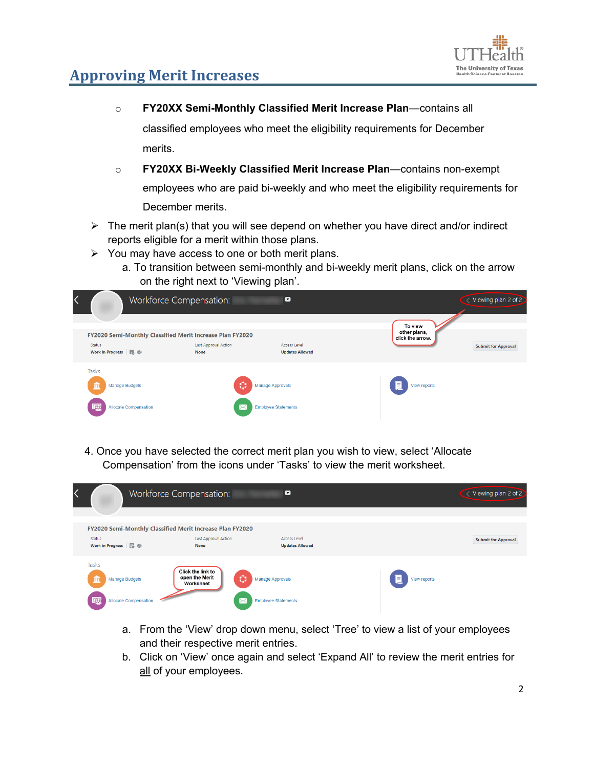

o **FY20XX Semi-Monthly Classified Merit Increase Plan**—contains all

classified employees who meet the eligibility requirements for December merits.

- o **FY20XX Bi-Weekly Classified Merit Increase Plan**—contains non-exempt employees who are paid bi-weekly and who meet the eligibility requirements for December merits.
- $\triangleright$  The merit plan(s) that you will see depend on whether you have direct and/or indirect reports eligible for a merit within those plans.
- $\triangleright$  You may have access to one or both merit plans.
	- a. To transition between semi-monthly and bi-weekly merit plans, click on the arrow on the right next to 'Viewing plan'.



4. Once you have selected the correct merit plan you wish to view, select 'Allocate Compensation' from the icons under 'Tasks' to view the merit worksheet.

| ↖ |                                                                   | Workforce Compensation:                                                                          | $\blacksquare$                                 |                   | Viewing plan 2 of 2        |
|---|-------------------------------------------------------------------|--------------------------------------------------------------------------------------------------|------------------------------------------------|-------------------|----------------------------|
|   | <b>Status</b><br>Work in Progress <b>E</b> &                      | FY2020 Semi-Monthly Classified Merit Increase Plan FY2020<br>Last Approval Action<br><b>None</b> | Access Level<br><b>Updates Allowed</b>         |                   | <b>Submit for Approval</b> |
|   | Tasks<br>血<br>Manage Budgets<br>颐<br><b>Allocate Compensation</b> | Click the link to<br>O<br>open the Merit<br>Worksheet<br>⊳≺                                      | Manage Approvals<br><b>Employee Statements</b> | Ξ<br>View reports |                            |

- a. From the 'View' drop down menu, select 'Tree' to view a list of your employees and their respective merit entries.
- b. Click on 'View' once again and select 'Expand All' to review the merit entries for all of your employees.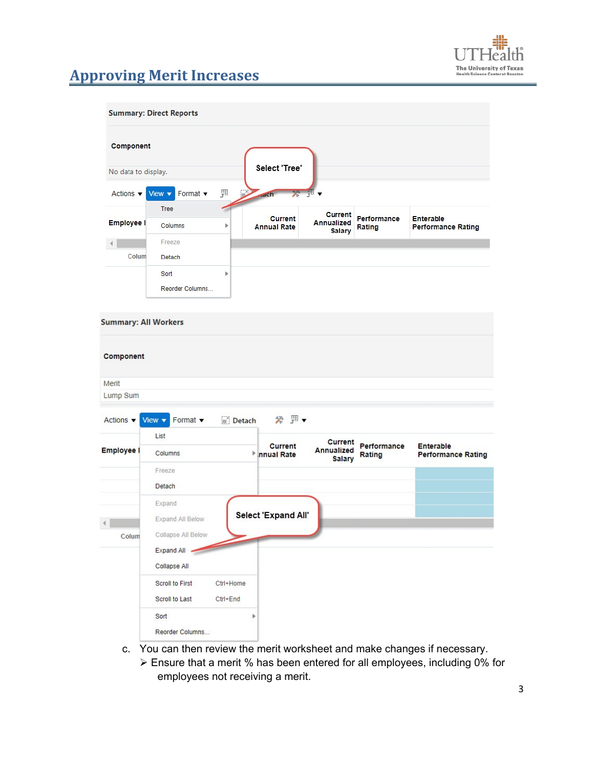

#### **Summary: Direct Reports**

| Component                    |                                                          |   |                                      |                             |                       |                                               |
|------------------------------|----------------------------------------------------------|---|--------------------------------------|-----------------------------|-----------------------|-----------------------------------------------|
| No data to display.          |                                                          |   | Select 'Tree'                        |                             |                       |                                               |
| Actions $\blacktriangledown$ | Format $\blacktriangledown$<br>View $\blacktriangledown$ | 顨 | $\mathbb{R}$<br>$ad$ Ch              | * 理▼                        |                       |                                               |
|                              | Tree                                                     |   |                                      | <b>Current</b>              |                       |                                               |
| <b>Employee I</b>            | Columns                                                  | Þ | <b>Current</b><br><b>Annual Rate</b> | Annualized<br><b>Salary</b> | Performance<br>Rating | <b>Enterable</b><br><b>Performance Rating</b> |
|                              | Freeze                                                   |   |                                      |                             |                       |                                               |
| Colum                        | Detach                                                   |   |                                      |                             |                       |                                               |
|                              | Sort                                                     | Þ |                                      |                             |                       |                                               |
|                              | Reorder Columns                                          |   |                                      |                             |                       |                                               |

#### **Summary: All Workers**

| Component                    |                                       |                               |                                                             |                                        |
|------------------------------|---------------------------------------|-------------------------------|-------------------------------------------------------------|----------------------------------------|
| Merit                        |                                       |                               |                                                             |                                        |
| Lump Sum                     |                                       |                               |                                                             |                                        |
| Actions $\blacktriangledown$ | Format v<br>View $\blacktriangledown$ | ※ 里▼<br>Detach                |                                                             |                                        |
|                              | List                                  |                               | <b>Current</b>                                              |                                        |
| <b>Employee I</b>            | Columns                               | <b>Current</b><br>Innual Rate | Performance<br><b>Annualized</b><br>Rating<br><b>Salary</b> | Enterable<br><b>Performance Rating</b> |
|                              | Freeze                                |                               |                                                             |                                        |
|                              | Detach                                |                               |                                                             |                                        |
|                              | Expand                                |                               |                                                             |                                        |
|                              | Expand All Below                      | Select 'Expand All'           |                                                             |                                        |
| Colum                        | Collapse All Below                    |                               |                                                             |                                        |
|                              | Expand All                            |                               |                                                             |                                        |
|                              | Collapse All                          |                               |                                                             |                                        |
|                              | Scroll to First<br>Ctrl+Home          |                               |                                                             |                                        |
|                              | Scroll to Last<br>Ctrl+End            |                               |                                                             |                                        |
|                              | Sort                                  | Ъ                             |                                                             |                                        |
|                              | Reorder Columns                       |                               |                                                             |                                        |

- c. You can then review the merit worksheet and make changes if necessary.
	- Ensure that a merit % has been entered for all employees, including 0% for employees not receiving a merit.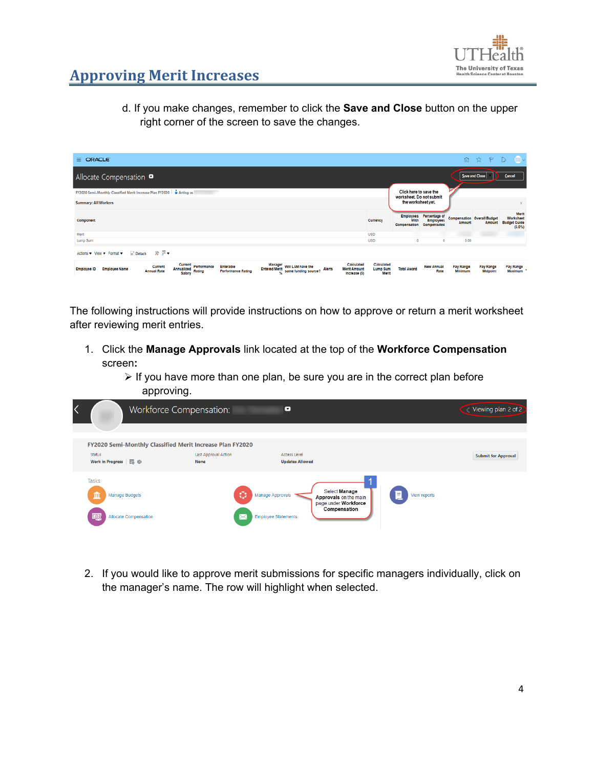

d. If you make changes, remember to click the **Save and Close** button on the upper right corner of the screen to save the changes.

| $\equiv$ ORACLE                                                                                                                                                                                                                                                                                                                          |                                 |                                  |                                                    |                                              | <b>命 ☆ ド D</b>        | <b>COMPA</b>                                           |
|------------------------------------------------------------------------------------------------------------------------------------------------------------------------------------------------------------------------------------------------------------------------------------------------------------------------------------------|---------------------------------|----------------------------------|----------------------------------------------------|----------------------------------------------|-----------------------|--------------------------------------------------------|
| Allocate Compensation $\bullet$                                                                                                                                                                                                                                                                                                          |                                 |                                  |                                                    | Save and Close                               |                       | Cancel                                                 |
| FY2020 Semi-Monthly Classified Merit Increase Plan FY2020   2 Acting as                                                                                                                                                                                                                                                                  |                                 |                                  | Click here to save the<br>worksheet. Do not submit |                                              |                       |                                                        |
| <b>Summary: All Workers</b>                                                                                                                                                                                                                                                                                                              |                                 | the worksheet yet.               |                                                    |                                              |                       | $\times$                                               |
| Component                                                                                                                                                                                                                                                                                                                                | Currency                        | <b>Employees</b><br>Compensation | Percentage of<br><b>Employees</b><br>Compensated   | <b>Compensation Overall Budget</b><br>Amount | Amount                | Merit<br>Worksheet<br><b>Budget Guide</b><br>$(3.0\%)$ |
| Merit                                                                                                                                                                                                                                                                                                                                    | <b>USD</b>                      |                                  |                                                    |                                              |                       |                                                        |
| Lump Sum                                                                                                                                                                                                                                                                                                                                 | <b>USD</b>                      | $\circ$                          | Ō                                                  | 0.00                                         |                       |                                                        |
| Actions v View v Format v $\Box$ Detach $\gg \Box$ v                                                                                                                                                                                                                                                                                     |                                 |                                  |                                                    |                                              |                       |                                                        |
| Calculated<br>Current<br>Manager<br>Will LSM have the<br>Performance<br>Enterable<br>Current<br><b>Entered Merit</b><br><b>Alerts</b><br><b>Merit Amount</b><br><b>Employee Name</b><br><b>Employee ID</b><br>Annualized<br>same funding source?<br><b>Annual Rate</b><br>Rating<br><b>Performance Rating</b><br>Salary<br>Increase (\$) | Calculated<br>Lump Sum<br>Merit | <b>Total Award</b>               | <b>New Annual</b><br>Rate                          | Pay Range<br>Minimum                         | Pay Range<br>Midpoint | Pay Range<br>Maximum                                   |

The following instructions will provide instructions on how to approve or return a merit worksheet after reviewing merit entries.

- 1. Click the **Manage Approvals** link located at the top of the **Workforce Compensation**  screen**:** 
	- $\triangleright$  If you have more than one plan, be sure you are in the correct plan before approving.

| Workforce Compensation:                                                   |                              | $\blacksquare$                                                                                                                   |                   | Viewing plan 2 of 2        |
|---------------------------------------------------------------------------|------------------------------|----------------------------------------------------------------------------------------------------------------------------------|-------------------|----------------------------|
| FY2020 Semi-Monthly Classified Merit Increase Plan FY2020                 |                              |                                                                                                                                  |                   |                            |
| Status<br>Work in Progress <b>E</b> &                                     | Last Approval Action<br>None | Access Level<br><b>Updates Allowed</b>                                                                                           |                   | <b>Submit for Approval</b> |
| Tasks<br>血<br><b>Manage Budgets</b><br>【森<br><b>Allocate Compensation</b> | ۰<br>⋉                       | Select Manage<br>Manage Approvals<br>Approvals on the main<br>page under Workforce<br>Compensation<br><b>Employee Statements</b> | 且<br>View reports |                            |

2. If you would like to approve merit submissions for specific managers individually, click on the manager's name. The row will highlight when selected.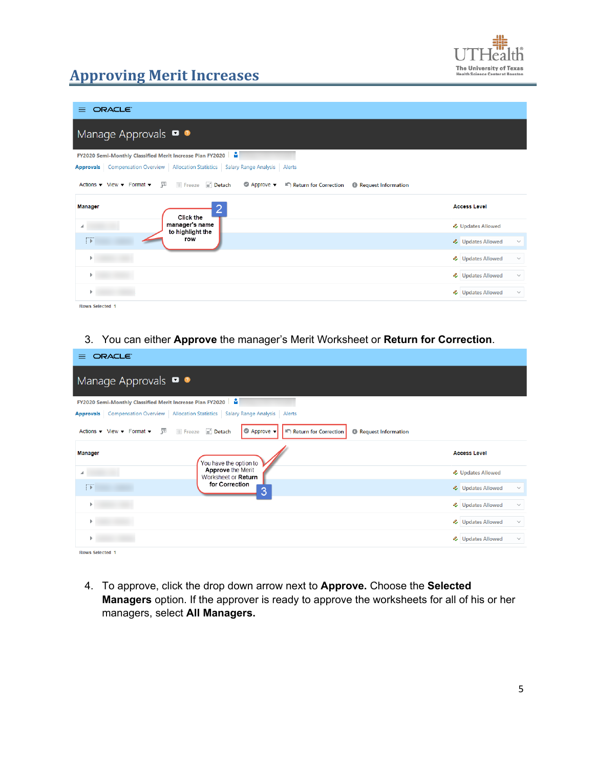

| ORACLE <sup>®</sup><br>≡                                                                                                                                                                                |                                              |
|---------------------------------------------------------------------------------------------------------------------------------------------------------------------------------------------------------|----------------------------------------------|
| Manage Approvals $\bullet$                                                                                                                                                                              |                                              |
| <b>FY2020 Semi-Monthly Classified Merit Increase Plan FY2020</b>                                                                                                                                        |                                              |
| Approvals Compensation Overview Allocation Statistics Salary Range Analysis Alerts                                                                                                                      |                                              |
| Actions $\mathbf{v}$ View $\mathbf{v}$ Format $\mathbf{v}$ $\mathbf{F}$<br><b>III</b> Freeze <b>Fig.</b> Detach<br>$\bullet$ Approve $\bullet$<br>Return for Correction<br><b>B</b> Request Information |                                              |
| <b>Manager</b>                                                                                                                                                                                          |                                              |
|                                                                                                                                                                                                         | <b>Access Level</b>                          |
| <b>Click the</b><br>manager's name                                                                                                                                                                      | <b>↓</b> Updates Allowed                     |
| to highlight the<br>row                                                                                                                                                                                 | <b>4</b> Updates Allowed<br>$\checkmark$     |
|                                                                                                                                                                                                         | <b>&amp;</b> Updates Allowed<br>$\checkmark$ |
|                                                                                                                                                                                                         | <b>&amp;</b> Updates Allowed<br>$\checkmark$ |

#### Rows Selected 1

#### 3. You can either **Approve** the manager's Merit Worksheet or **Return for Correction**.

| ORACLE <sup>®</sup><br>$=$                                     |                                                                                                                            |                                              |
|----------------------------------------------------------------|----------------------------------------------------------------------------------------------------------------------------|----------------------------------------------|
| Manage Approvals <b>O</b>                                      |                                                                                                                            |                                              |
| FY2020 Semi-Monthly Classified Merit Increase Plan FY2020      | ÷                                                                                                                          |                                              |
| <b>Approvals</b> Compensation Overview   Allocation Statistics | <b>Salary Range Analysis</b><br>Alerts                                                                                     |                                              |
| 驆<br>Actions $\bullet$ View $\bullet$ Format $\bullet$         | <b>III</b> Freeze <b>in</b> Detach<br>$\bullet$ Approve $\bullet$<br>Return for Correction<br><b>B</b> Request Information |                                              |
| <b>Manager</b>                                                 | You have the option to                                                                                                     | <b>Access Level</b>                          |
|                                                                | <b>Approve the Merit</b><br>Worksheet or Return                                                                            | & Updates Allowed                            |
| $\rightarrow$                                                  | for Correction<br>3                                                                                                        | <b>4</b> Updates Allowed<br>$\checkmark$     |
|                                                                |                                                                                                                            | <b>&amp;</b> Updates Allowed<br>$\checkmark$ |
|                                                                |                                                                                                                            | <b>4</b> Updates Allowed<br>$\checkmark$     |
|                                                                |                                                                                                                            | <b>4</b> Updates Allowed<br>$\checkmark$     |
| <b>Rows Selected 1</b>                                         |                                                                                                                            |                                              |

4. To approve, click the drop down arrow next to **Approve.** Choose the **Selected Managers** option. If the approver is ready to approve the worksheets for all of his or her managers, select **All Managers.**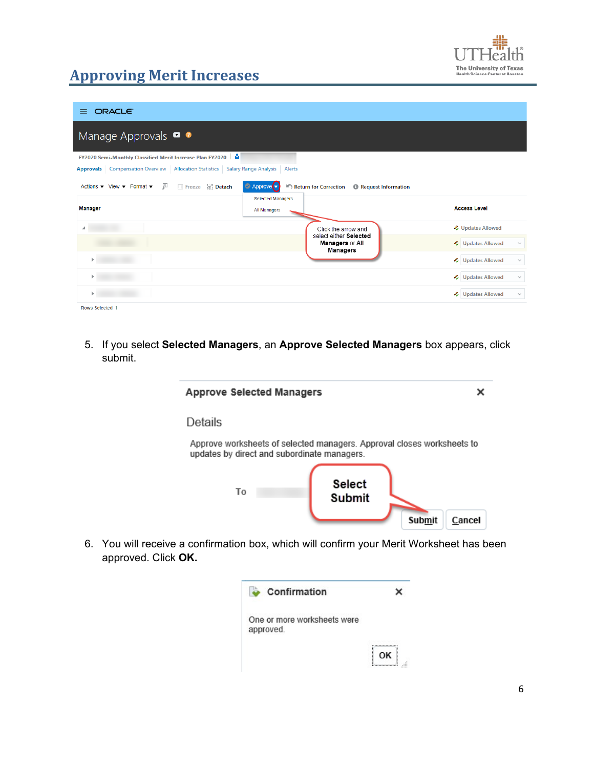

| ORACLE <sup>®</sup><br>$=$                                                                                                                     |                                                                    |                                          |
|------------------------------------------------------------------------------------------------------------------------------------------------|--------------------------------------------------------------------|------------------------------------------|
| Manage Approvals $\bullet$ $\bullet$                                                                                                           |                                                                    |                                          |
| <b>FY2020 Semi-Monthly Classified Merit Increase Plan FY2020</b>                                                                               |                                                                    |                                          |
| Approvals   Compensation Overview   Allocation Statistics   Salary Range Analysis   Alerts                                                     |                                                                    |                                          |
| Actions $\blacktriangledown$ View $\blacktriangledown$ Format $\blacktriangledown$ $\frac{\pi}{2}$ $\blacksquare$ Freeze $\blacksquare$ Detach | Approve v<br>Return for Correction<br><b>B</b> Request Information |                                          |
| <b>Manager</b>                                                                                                                                 | <b>Selected Managers</b>                                           | <b>Access Level</b>                      |
|                                                                                                                                                | All Managers                                                       |                                          |
| ⊿                                                                                                                                              | Click the arrow and                                                | <b>↓</b> Updates Allowed                 |
|                                                                                                                                                | select either Selected<br>Managers or All<br><b>Managers</b>       | <b>4</b> Updates Allowed<br>$\checkmark$ |
|                                                                                                                                                |                                                                    | <b>4</b> Updates Allowed<br>$\checkmark$ |
|                                                                                                                                                |                                                                    | <b>2</b> Updates Allowed<br>$\checkmark$ |
|                                                                                                                                                |                                                                    | <b>4</b> Updates Allowed<br>$\checkmark$ |
| <b>Rows Selected 1</b>                                                                                                                         |                                                                    |                                          |

5. If you select **Selected Managers**, an **Approve Selected Managers** box appears, click submit.



6. You will receive a confirmation box, which will confirm your Merit Worksheet has been approved. Click **OK.**

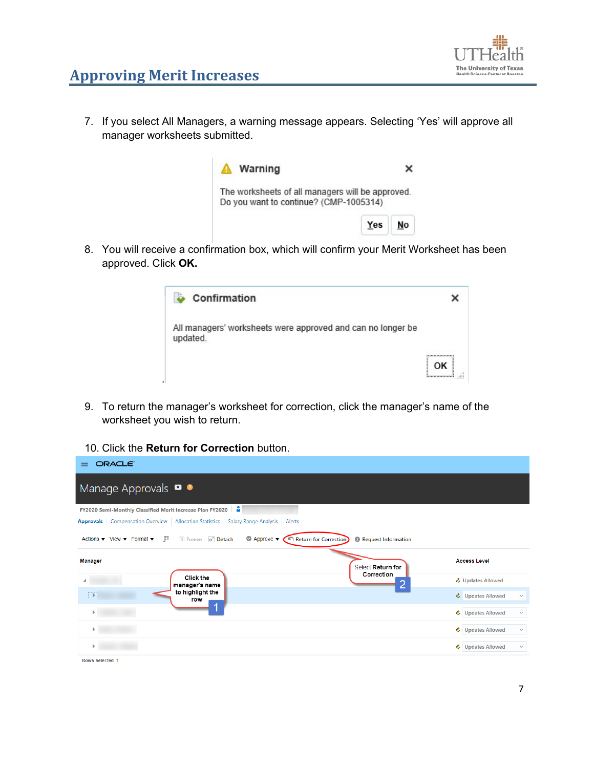

7. If you select All Managers, a warning message appears. Selecting 'Yes' will approve all manager worksheets submitted.



8. You will receive a confirmation box, which will confirm your Merit Worksheet has been approved. Click **OK.**



- 9. To return the manager's worksheet for correction, click the manager's name of the worksheet you wish to return.
- 10. Click the **Return for Correction** button.

| ORACLE <sup>®</sup><br>$=$                                                                                                                                                                                        |                                          |
|-------------------------------------------------------------------------------------------------------------------------------------------------------------------------------------------------------------------|------------------------------------------|
| Manage Approvals <b>O</b>                                                                                                                                                                                         |                                          |
| <b>FY2020 Semi-Monthly Classified Merit Increase Plan FY2020</b> $\frac{6}{10}$                                                                                                                                   |                                          |
| Approvals   Compensation Overview   Allocation Statistics   Salary Range Analysis<br>Alerts                                                                                                                       |                                          |
| <b>III</b> Freeze <b>Detach</b><br>彃<br>$\bullet$ Approve $\bullet$<br>Actions $\bullet$ View $\bullet$ Format $\bullet$<br><b>Return for Correction</b><br>$\blacksquare$<br><b><i>O</i></b> Request Information |                                          |
| <b>Manager</b><br>Select Return for                                                                                                                                                                               | <b>Access Level</b>                      |
| Correction<br>Click the<br>manager's name                                                                                                                                                                         | <b>&amp;</b> Updates Allowed             |
| to highlight the<br>₿D<br>row                                                                                                                                                                                     | 4 Updates Allowed<br>$\checkmark$        |
|                                                                                                                                                                                                                   | <b>4</b> Updates Allowed<br>$\checkmark$ |
|                                                                                                                                                                                                                   | <b>4</b> Updates Allowed<br>$\checkmark$ |
|                                                                                                                                                                                                                   | <b>4</b> Updates Allowed<br>$\checkmark$ |
| Rows Selected 1                                                                                                                                                                                                   |                                          |